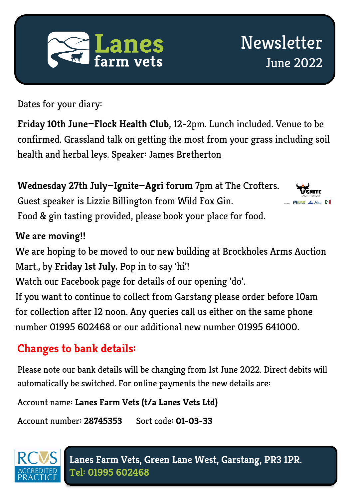

 $\mathbf{B}$   $\mathbf{A}$   $\mathbf{A}$   $\mathbf{b}$   $\mathbf{a}$ 

Dates for your diary:

**Friday 10th June—Flock Health Club**, 12-2pm. Lunch included. Venue to be confirmed. Grassland talk on getting the most from your grass including soil health and herbal leys. Speaker: James Bretherton

**Wednesday 27th July—Ignite—Agri forum** 7pm at The Crofters. Guest speaker is Lizzie Billington from Wild Fox Gin. Food & gin tasting provided, please book your place for food.

#### **We are moving!!**

We are hoping to be moved to our new building at Brockholes Arms Auction Mart., by **Friday 1st July.** Pop in to say 'hi'!

Watch our Facebook page for details of our opening 'do'.

If you want to continue to collect from Garstang please order before 10am for collection after 12 noon. Any queries call us either on the same phone number 01995 602468 or our additional new number 01995 641000.

### **Changes to bank details:**

Please note our bank details will be changing from 1st June 2022. Direct debits will automatically be switched. For online payments the new details are:

Account name: **Lanes Farm Vets (t/a Lanes Vets Ltd)**

Account number: **28745353** Sort code: **01-03-33**

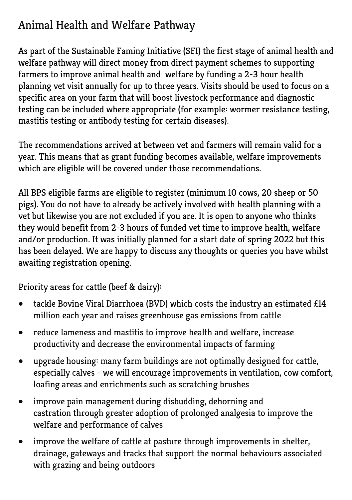## Animal Health and Welfare Pathway

As part of the Sustainable Faming Initiative (SFI) the first stage of animal health and welfare pathway will direct money from direct payment schemes to supporting farmers to improve animal health and welfare by funding a 2-3 hour health planning vet visit annually for up to three years. Visits should be used to focus on a specific area on your farm that will boost livestock performance and diagnostic testing can be included where appropriate (for example: wormer resistance testing, mastitis testing or antibody testing for certain diseases).

The recommendations arrived at between vet and farmers will remain valid for a year. This means that as grant funding becomes available, welfare improvements which are eligible will be covered under those recommendations.

All BPS eligible farms are eligible to register (minimum 10 cows, 20 sheep or 50 pigs). You do not have to already be actively involved with health planning with a vet but likewise you are not excluded if you are. It is open to anyone who thinks they would benefit from 2-3 hours of funded vet time to improve health, welfare and/or production. It was initially planned for a start date of spring 2022 but this has been delayed. We are happy to discuss any thoughts or queries you have whilst awaiting registration opening.

Priority areas for cattle (beef & dairy):

- tackle Bovine Viral Diarrhoea (BVD) which costs the industry an estimated £14 million each year and raises greenhouse gas emissions from cattle
- reduce lameness and mastitis to improve health and welfare, increase productivity and decrease the environmental impacts of farming
- upgrade housing: many farm buildings are not optimally designed for cattle, especially calves - we will encourage improvements in ventilation, cow comfort, loafing areas and enrichments such as scratching brushes
- improve pain management during disbudding, dehorning and castration through greater adoption of prolonged analgesia to improve the welfare and performance of calves
- improve the welfare of cattle at pasture through improvements in shelter, drainage, gateways and tracks that support the normal behaviours associated with grazing and being outdoors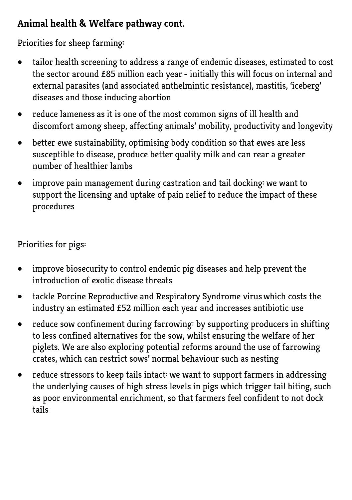#### **Animal health & Welfare pathway cont.**

Priorities for sheep farming:

- tailor health screening to address a range of endemic diseases, estimated to cost the sector around £85 million each year - initially this will focus on internal and external parasites (and associated anthelmintic resistance), mastitis, 'iceberg' diseases and those inducing abortion
- reduce lameness as it is one of the most common signs of ill health and discomfort among sheep, affecting animals' mobility, productivity and longevity
- better ewe sustainability, optimising body condition so that ewes are less susceptible to disease, produce better quality milk and can rear a greater number of healthier lambs
- improve pain management during castration and tail docking: we want to support the licensing and uptake of pain relief to reduce the impact of these procedures

Priorities for pigs:

- improve biosecurity to control endemic pig diseases and help prevent the introduction of exotic disease threats
- tackle Porcine Reproductive and Respiratory Syndrome virus which costs the industry an estimated £52 million each year and increases antibiotic use
- reduce sow confinement during farrowing: by supporting producers in shifting to less confined alternatives for the sow, whilst ensuring the welfare of her piglets. We are also exploring potential reforms around the use of farrowing crates, which can restrict sows' normal behaviour such as nesting
- reduce stressors to keep tails intact: we want to support farmers in addressing the underlying causes of high stress levels in pigs which trigger tail biting, such as poor environmental enrichment, so that farmers feel confident to not dock tails